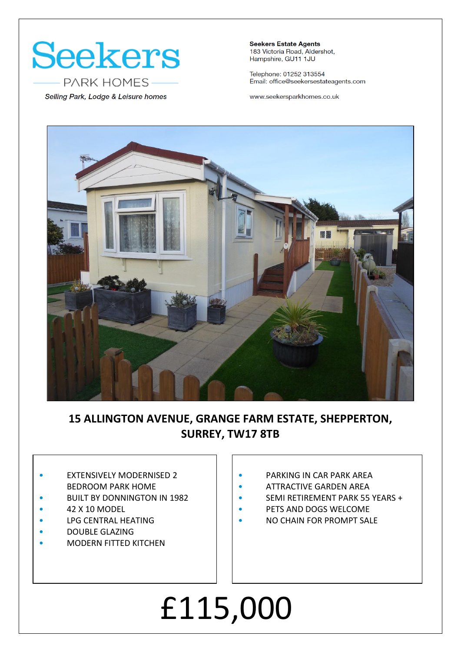## **Seekers** PARK HOMES

Selling Park, Lodge & Leisure homes

**Seekers Estate Agents** 183 Victoria Road, Aldershot, Hampshire, GU11 1JU

Telephone: 01252 313554 Email: office@seekersestateagents.com

www.seekersparkhomes.co.uk



### **15 ALLINGTON AVENUE, GRANGE FARM ESTATE, SHEPPERTON, SURREY, TW17 8TB**

- EXTENSIVELY MODERNISED 2 BEDROOM PARK HOME
- BUILT BY DONNINGTON IN 1982
- 42 X 10 MODEL
- LPG CENTRAL HEATING
- DOUBLE GLAZING
- MODERN FITTED KITCHEN
- PARKING IN CAR PARK AREA
- ATTRACTIVE GARDEN AREA
- SEMI RETIREMENT PARK 55 YEARS +
- PETS AND DOGS WELCOME
- NO CHAIN FOR PROMPT SALE

# £115,000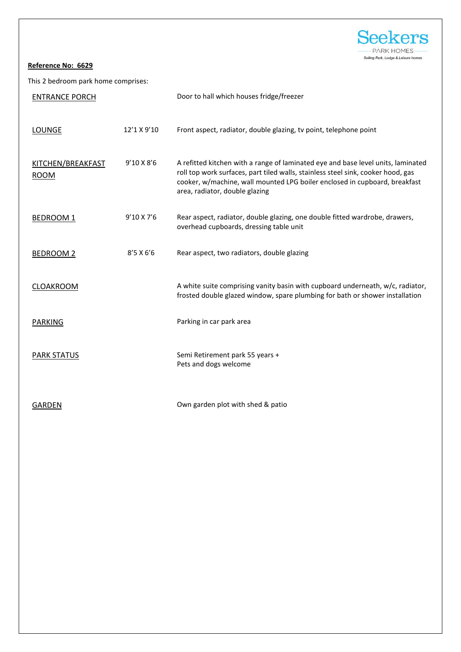

#### **Reference No: 6629**

This 2 bedroom park home comprises:

| <b>ENTRANCE PORCH</b>            |                   | Door to hall which houses fridge/freezer                                                                                                                                                                                                                                             |
|----------------------------------|-------------------|--------------------------------------------------------------------------------------------------------------------------------------------------------------------------------------------------------------------------------------------------------------------------------------|
| <b>LOUNGE</b>                    | 12'1 X 9'10       | Front aspect, radiator, double glazing, tv point, telephone point                                                                                                                                                                                                                    |
| KITCHEN/BREAKFAST<br><b>ROOM</b> | $9'10 \times 8'6$ | A refitted kitchen with a range of laminated eye and base level units, laminated<br>roll top work surfaces, part tiled walls, stainless steel sink, cooker hood, gas<br>cooker, w/machine, wall mounted LPG boiler enclosed in cupboard, breakfast<br>area, radiator, double glazing |
| <b>BEDROOM 1</b>                 | $9'10 \times 7'6$ | Rear aspect, radiator, double glazing, one double fitted wardrobe, drawers,<br>overhead cupboards, dressing table unit                                                                                                                                                               |
| <b>BEDROOM 2</b>                 | 8'5 X 6'6         | Rear aspect, two radiators, double glazing                                                                                                                                                                                                                                           |
| <b>CLOAKROOM</b>                 |                   | A white suite comprising vanity basin with cupboard underneath, w/c, radiator,<br>frosted double glazed window, spare plumbing for bath or shower installation                                                                                                                       |
| <b>PARKING</b>                   |                   | Parking in car park area                                                                                                                                                                                                                                                             |
| <b>PARK STATUS</b>               |                   | Semi Retirement park 55 years +<br>Pets and dogs welcome                                                                                                                                                                                                                             |
| <b>GARDEN</b>                    |                   | Own garden plot with shed & patio                                                                                                                                                                                                                                                    |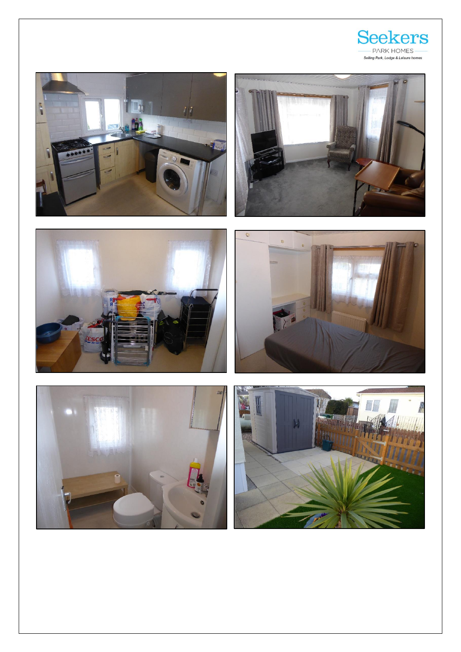











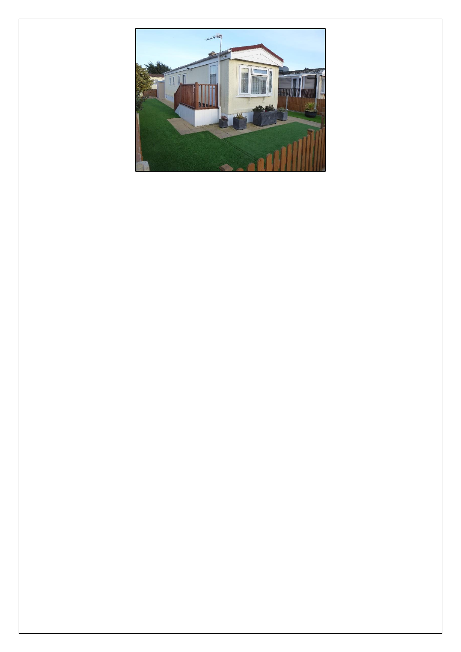